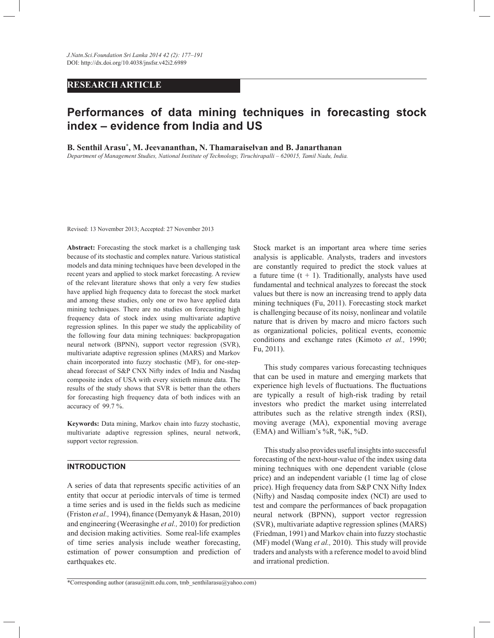# **RESEARCH ARTICLE**

# **Performances of data mining techniques in forecasting stock index – evidence from India and US**

**B. Senthil Arasu\* , M. Jeevananthan, N. Thamaraiselvan and B. Janarthanan**

*Department of Management Studies, National Institute of Technology, Tiruchirapalli – 620015, Tamil Nadu, India.*

Revised: 13 November 2013; Accepted: 27 November 2013

**Abstract:** Forecasting the stock market is a challenging task because of its stochastic and complex nature. Various statistical models and data mining techniques have been developed in the recent years and applied to stock market forecasting. A review of the relevant literature shows that only a very few studies have applied high frequency data to forecast the stock market and among these studies, only one or two have applied data mining techniques. There are no studies on forecasting high frequency data of stock index using multivariate adaptive regression splines. In this paper we study the applicability of the following four data mining techniques: backpropagation neural network (BPNN), support vector regression (SVR), multivariate adaptive regression splines (MARS) and Markov chain incorporated into fuzzy stochastic (MF), for one-stepahead forecast of S&P CNX Nifty index of India and Nasdaq composite index of USA with every sixtieth minute data. The results of the study shows that SVR is better than the others for forecasting high frequency data of both indices with an accuracy of 99.7 %.

**Keywords:** Data mining, Markov chain into fuzzy stochastic, multivariate adaptive regression splines, neural network, support vector regression.

# **INTRODUCTION**

A series of data that represents specific activities of an entity that occur at periodic intervals of time is termed a time series and is used in the fields such as medicine (Friston *et al.,* 1994), finance (Demyanyk & Hasan, 2010) and engineering (Weerasinghe *et al.,* 2010) for prediction and decision making activities. Some real-life examples of time series analysis include weather forecasting, estimation of power consumption and prediction of earthquakes etc.

Stock market is an important area where time series analysis is applicable. Analysts, traders and investors are constantly required to predict the stock values at a future time  $(t + 1)$ . Traditionally, analysts have used fundamental and technical analyzes to forecast the stock values but there is now an increasing trend to apply data mining techniques (Fu, 2011). Forecasting stock market is challenging because of its noisy, nonlinear and volatile nature that is driven by macro and micro factors such as organizational policies, political events, economic conditions and exchange rates (Kimoto *et al.,* 1990; Fu, 2011).

 This study compares various forecasting techniques that can be used in mature and emerging markets that experience high levels of fluctuations. The fluctuations are typically a result of high-risk trading by retail investors who predict the market using interrelated attributes such as the relative strength index (RSI), moving average (MA), exponential moving average (EMA) and William's  $\%R$ ,  $\%K$ ,  $\%D$ .

 This study also provides useful insights into successful forecasting of the next-hour-value of the index using data mining techniques with one dependent variable (close price) and an independent variable (1 time lag of close price). High frequency data from S&P CNX Nifty Index (Nifty) and Nasdaq composite index (NCI) are used to test and compare the performances of back propagation neural network (BPNN), support vector regression (SVR), multivariate adaptive regression splines (MARS) (Friedman, 1991) and Markov chain into fuzzy stochastic (MF) model (Wang *et al.,* 2010). This study will provide traders and analysts with a reference model to avoid blind and irrational prediction.

\*Corresponding author (arasu@nitt.edu.com, tmb\_senthilarasu@yahoo.com)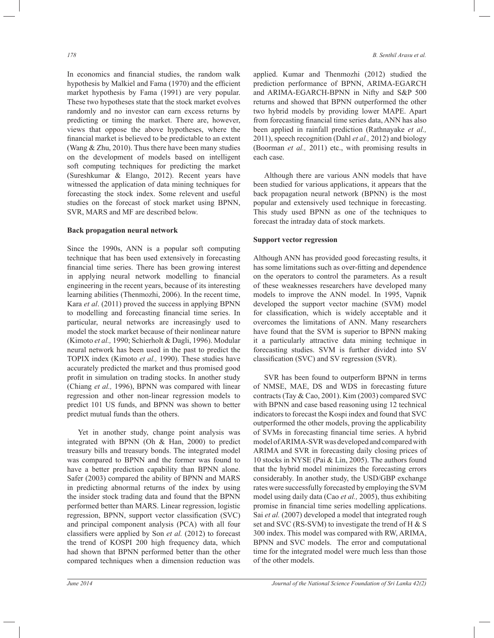In economics and financial studies, the random walk hypothesis by Malkiel and Fama (1970) and the efficient market hypothesis by Fama (1991) are very popular. These two hypotheses state that the stock market evolves randomly and no investor can earn excess returns by predicting or timing the market. There are, however, views that oppose the above hypotheses, where the financial market is believed to be predictable to an extent (Wang & Zhu, 2010). Thus there have been many studies on the development of models based on intelligent soft computing techniques for predicting the market (Sureshkumar & Elango, 2012). Recent years have witnessed the application of data mining techniques for forecasting the stock index. Some relevent and useful studies on the forecast of stock market using BPNN, SVR, MARS and MF are described below.

## **Back propagation neural network**

Since the 1990s, ANN is a popular soft computing technique that has been used extensively in forecasting financial time series. There has been growing interest in applying neural network modelling to financial engineering in the recent years, because of its interesting learning abilities (Thenmozhi, 2006). In the recent time, Kara *et al*. (2011) proved the success in applying BPNN to modelling and forecasting financial time series. In particular, neural networks are increasingly used to model the stock market because of their nonlinear nature (Kimoto *et al.,* 1990; Schierholt & Dagli, 1996). Modular neural network has been used in the past to predict the TOPIX index (Kimoto *et al.,* 1990). These studies have accurately predicted the market and thus promised good profit in simulation on trading stocks. In another study (Chiang *et al.,* 1996), BPNN was compared with linear regression and other non-linear regression models to predict 101 US funds, and BPNN was shown to better predict mutual funds than the others.

 Yet in another study, change point analysis was integrated with BPNN (Oh & Han, 2000) to predict treasury bills and treasury bonds. The integrated model was compared to BPNN and the former was found to have a better prediction capability than BPNN alone. Safer (2003) compared the ability of BPNN and MARS in predicting abnormal returns of the index by using the insider stock trading data and found that the BPNN performed better than MARS. Linear regression, logistic regression, BPNN, support vector classification (SVC) and principal component analysis (PCA) with all four classifiers were applied by Son *et al.* (2012) to forecast the trend of KOSPI 200 high frequency data, which had shown that BPNN performed better than the other compared techniques when a dimension reduction was

applied. Kumar and Thenmozhi (2012) studied the prediction performance of BPNN, ARIMA-EGARCH and ARIMA-EGARCH-BPNN in Nifty and S&P 500 returns and showed that BPNN outperformed the other two hybrid models by providing lower MAPE. Apart from forecasting financial time series data, ANN has also been applied in rainfall prediction (Rathnayake *et al.,* 2011), speech recognition (Dahl *et al.,* 2012) and biology (Boorman *et al.,* 2011) etc., with promising results in each case.

 Although there are various ANN models that have been studied for various applications, it appears that the back propagation neural network (BPNN) is the most popular and extensively used technique in forecasting. This study used BPNN as one of the techniques to forecast the intraday data of stock markets.

## **Support vector regression**

Although ANN has provided good forecasting results, it has some limitations such as over-fitting and dependence on the operators to control the parameters. As a result of these weaknesses researchers have developed many models to improve the ANN model. In 1995, Vapnik developed the support vector machine (SVM) model for classification, which is widely acceptable and it overcomes the limitations of ANN. Many researchers have found that the SVM is superior to BPNN making it a particularly attractive data mining technique in forecasting studies. SVM is further divided into SV classification (SVC) and SV regression (SVR).

 SVR has been found to outperform BPNN in terms of NMSE, MAE, DS and WDS in forecasting future contracts (Tay & Cao, 2001). Kim (2003) compared SVC with BPNN and case based reasoning using 12 technical indicators to forecast the Kospi index and found that SVC outperformed the other models, proving the applicability of SVMs in forecasting financial time series. A hybrid model of ARIMA-SVR was developed and compared with ARIMA and SVR in forecasting daily closing prices of 10 stocks in NYSE (Pai & Lin, 2005). The authors found that the hybrid model minimizes the forecasting errors considerably. In another study, the USD/GBP exchange rates were successfully forecasted by employing the SVM model using daily data (Cao *et al.,* 2005), thus exhibiting promise in financial time series modelling applications. Sai *et al.* (2007) developed a model that integrated rough set and SVC (RS-SVM) to investigate the trend of H  $\&$  S 300 index. This model was compared with RW, ARIMA, BPNN and SVC models. The error and computational time for the integrated model were much less than those of the other models.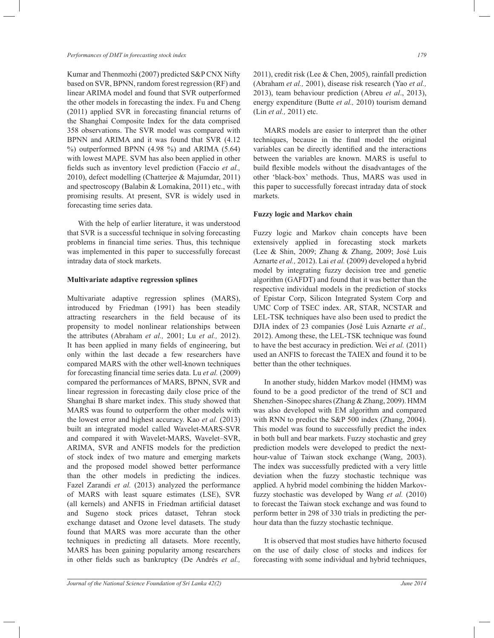*Performances of DMT in forecasting stock index 179*

Kumar and Thenmozhi (2007) predicted S&P CNX Nifty based on SVR, BPNN, random forest regression (RF) and linear ARIMA model and found that SVR outperformed the other models in forecasting the index. Fu and Cheng (2011) applied SVR in forecasting financial returns of the Shanghai Composite Index for the data comprised 358 observations. The SVR model was compared with BPNN and ARIMA and it was found that SVR (4.12 %) outperformed BPNN (4.98 %) and ARIMA (5.64) with lowest MAPE. SVM has also been applied in other fields such as inventory level prediction (Faccio *et al.,* 2010), defect modelling (Chatterjee & Majumdar, 2011) and spectroscopy (Balabin & Lomakina, 2011) etc., with promising results. At present, SVR is widely used in forecasting time series data.

 With the help of earlier literature, it was understood that SVR is a successful technique in solving forecasting problems in financial time series. Thus, this technique was implemented in this paper to successfully forecast intraday data of stock markets.

## **Multivariate adaptive regression splines**

Multivariate adaptive regression splines (MARS), introduced by Friedman (1991) has been steadily attracting researchers in the field because of its propensity to model nonlinear relationships between the attributes (Abraham *et al.,* 2001; Lu *et al.,* 2012). It has been applied in many fields of engineering, but only within the last decade a few researchers have compared MARS with the other well-known techniques for forecasting financial time series data. Lu *et al.* (2009) compared the performances of MARS, BPNN, SVR and linear regression in forecasting daily close price of the Shanghai B share market index. This study showed that MARS was found to outperform the other models with the lowest error and highest accuracy. Kao *et al.* (2013) built an integrated model called Wavelet-MARS-SVR and compared it with Wavelet-MARS, Wavelet–SVR, ARIMA, SVR and ANFIS models for the prediction of stock index of two mature and emerging markets and the proposed model showed better performance than the other models in predicting the indices. Fazel Zarandi *et al.* (2013) analyzed the performance of MARS with least square estimates (LSE), SVR (all kernels) and ANFIS in Friedman artificial dataset and Sugeno stock prices dataset, Tehran stock exchange dataset and Ozone level datasets. The study found that MARS was more accurate than the other techniques in predicting all datasets. More recently, MARS has been gaining popularity among researchers in other fields such as bankruptcy (De Andrés *et al.,*

2011), credit risk (Lee & Chen, 2005), rainfall prediction (Abraham *et al.,* 2001), disease risk research (Yao *et al.,* 2013), team behaviour prediction (Abreu *et al*., 2013), energy expenditure (Butte *et al.,* 2010) tourism demand (Lin *et al.,* 2011) etc.

 MARS models are easier to interpret than the other techniques, because in the final model the original variables can be directly identified and the interactions between the variables are known. MARS is useful to build flexible models without the disadvantages of the other 'black-box' methods. Thus, MARS was used in this paper to successfully forecast intraday data of stock markets.

# **Fuzzy logic and Markov chain**

Fuzzy logic and Markov chain concepts have been extensively applied in forecasting stock markets (Lee & Shin, 2009; Zhang & Zhang, 2009; José Luis Aznarte *et al.,* 2012). Lai *et al.* (2009) developed a hybrid model by integrating fuzzy decision tree and genetic algorithm (GAFDT) and found that it was better than the respective individual models in the prediction of stocks of Epistar Corp, Silicon Integrated System Corp and UMC Corp of TSEC index. AR, STAR, NCSTAR and LEL-TSK techniques have also been used to predict the DJIA index of 23 companies (José Luis Aznarte *et al.,* 2012). Among these, the LEL-TSK technique was found to have the best accuracy in prediction. Wei *et al.* (2011) used an ANFIS to forecast the TAIEX and found it to be better than the other techniques.

 In another study, hidden Markov model (HMM) was found to be a good predictor of the trend of SCI and Shenzhen -Sinopec shares (Zhang & Zhang, 2009). HMM was also developed with EM algorithm and compared with RNN to predict the S&P 500 index (Zhang, 2004). This model was found to successfully predict the index in both bull and bear markets. Fuzzy stochastic and grey prediction models were developed to predict the nexthour-value of Taiwan stock exchange (Wang, 2003). The index was successfully predicted with a very little deviation when the fuzzy stochastic technique was applied. A hybrid model combining the hidden Markovfuzzy stochastic was developed by Wang *et al.* (2010) to forecast the Taiwan stock exchange and was found to perform better in 298 of 330 trials in predicting the perhour data than the fuzzy stochastic technique.

 It is observed that most studies have hitherto focused on the use of daily close of stocks and indices for forecasting with some individual and hybrid techniques,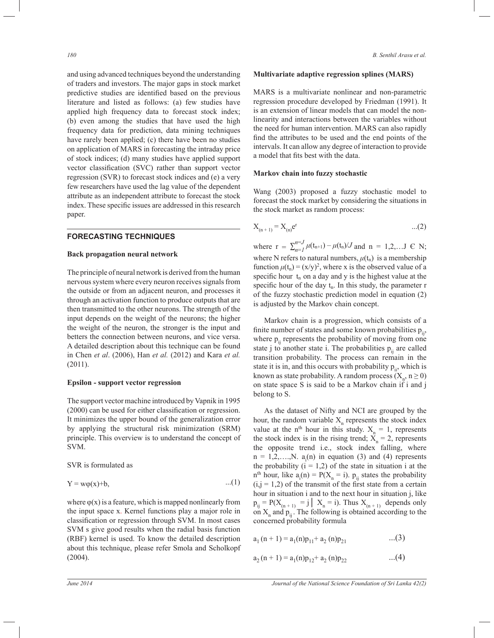and using advanced techniques beyond the understanding of traders and investors. The major gaps in stock market predictive studies are identified based on the previous literature and listed as follows: (a) few studies have applied high frequency data to forecast stock index; (b) even among the studies that have used the high frequency data for prediction, data mining techniques have rarely been applied; (c) there have been no studies on application of MARS in forecasting the intraday price of stock indices; (d) many studies have applied support vector classification (SVC) rather than support vector regression (SVR) to forecast stock indices and (e) a very few researchers have used the lag value of the dependent attribute as an independent attribute to forecast the stock index. These specific issues are addressed in this research paper.

## **FORECASTING TECHNIQUES**

#### **Back propagation neural network**

The principle of neural network is derived from the human nervous system where every neuron receives signals from the outside or from an adjacent neuron, and processes it through an activation function to produce outputs that are then transmitted to the other neurons. The strength of the input depends on the weight of the neurons; the higher the weight of the neuron, the stronger is the input and betters the connection between neurons, and vice versa. A detailed description about this technique can be found in Chen *et al*. (2006), Han *et al.* (2012) and Kara *et al.* (2011).

# **Epsilon - support vector regression**

The support vector machine introduced by Vapnik in 1995 (2000) can be used for either classification or regression. It minimizes the upper bound of the generalization error by applying the structural risk minimization (SRM) principle. This overview is to understand the concept of SVM.

SVR is formulated as

$$
Y = w\varphi(x) + b, \tag{1}
$$

where  $\varphi(x)$  is a feature, which is mapped nonlinearly from the input space x. Kernel functions play a major role in classification or regression through SVM. In most cases SVM s give good results when the radial basis function (RBF) kernel is used. To know the detailed description about this technique, please refer Smola and Scholkopf (2004).

## **Multivariate adaptive regression splines (MARS)**

MARS is a multivariate nonlinear and non-parametric regression procedure developed by Friedman (1991). It is an extension of linear models that can model the nonlinearity and interactions between the variables without the need for human intervention. MARS can also rapidly find the attributes to be used and the end points of the intervals. It can allow any degree of interaction to provide a model that fits best with the data.

## **Markov chain into fuzzy stochastic**

Wang (2003) proposed a fuzzy stochastic model to forecast the stock market by considering the situations in the stock market as random process:

$$
X_{(n+1)} = X_{(n)} e^{r} \tag{2}
$$

where  $r = \sum_{n=1}^{n=J} \mu(t_{n+1}) - \mu(t_n)/J$  and  $n = 1, 2, \dots$  J  $\in N$ ; where N refers to natural numbers,  $\mu(t_n)$  is a membership function  $\mu(t_n) = (x/y)^2$ , where x is the observed value of a specific hour  $t_n$  on a day and y is the highest value at the specific hour of the day  $t_n$ . In this study, the parameter r of the fuzzy stochastic prediction model in equation (2) is adjusted by the Markov chain concept.

 Markov chain is a progression, which consists of a finite number of states and some known probabilities  $p_{ii}$ , where  $p_{ii}$  represents the probability of moving from one state j to another state i. The probabilities  $p_{ii}$  are called transition probability. The process can remain in the state it is in, and this occurs with probability  $p_{ii}$ , which is known as state probability. A random process  $(X_n, n \ge 0)$ on state space S is said to be a Markov chain if i and j belong to S.

 As the dataset of Nifty and NCI are grouped by the hour, the random variable  $X_n$  represents the stock index value at the n<sup>th</sup> hour in this study.  $X_n = 1$ , represents the stock index is in the rising trend;  $X_n = 2$ , represents the opposite trend i.e., stock index falling, where  $n = 1, 2, \dots, N$ .  $a_i(n)$  in equation (3) and (4) represents the probability  $(i = 1,2)$  of the state in situation i at the  $n<sup>th</sup>$  hour, like  $a_i(n) = P(X_n = i)$ .  $p_{ij}$  states the probability  $(i,j = 1,2)$  of the transmit of the first state from a certain hour in situation i and to the next hour in situation j, like  $p_{ij} = P(X_{(n+1)} = j \mid X_n = i)$ . Thus  $X_{(n+1)}$  depends only on  $X_n$  and  $p_{ij}$ . The following is obtained according to the concerned probability formula

$$
a_1(n + 1) = a_1(n)p_{11} + a_2(n)p_{21} \qquad \qquad ...(3)
$$

$$
a_2(n + 1) = a_1(n)p_{12} + a_2(n)p_{22} \qquad \qquad ...(4)
$$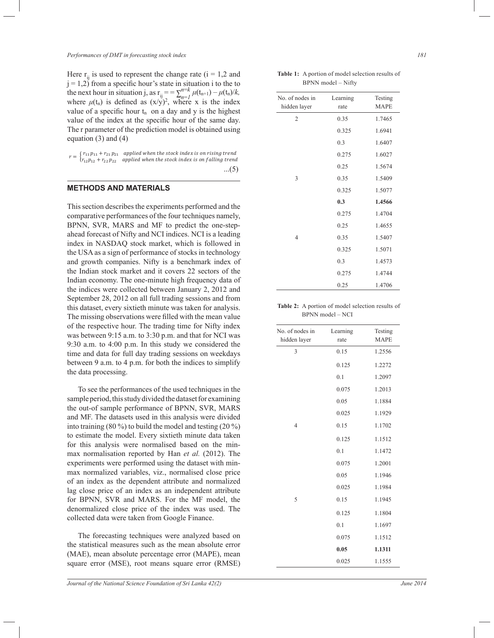Here  $r_{ii}$  is used to represent the change rate (i = 1,2 and  $j = 1,2$ ) from a specific hour's state in situation i to the to the next hour in situation j, as  $\mathbf{r}_{ij} = \sum_{n=1}^{n=k} \mu(\mathbf{t}_{n+1}) - \mu(\mathbf{t}_n)/k$ , where  $\mu(t_n)$  is defined as  $(x/y)^2$ , where x is the index value of a specific hour  $t_n$  on a day and y is the highest value of the index at the specific hour of the same day. The r parameter of the prediction model is obtained using equation (3) and (4)

| $r = \begin{cases} r_{11}p_{11} + r_{21}p_{21} & \text{applied when the stock index is on rising trend} \\ r_{12}p_{12} + r_{22}p_{22} & \text{applied when the stock index is on falling trend} \end{cases}$ |
|---------------------------------------------------------------------------------------------------------------------------------------------------------------------------------------------------------------|
| $(5)$                                                                                                                                                                                                         |

## **METHODS AND MATERIALS**

This section describes the experiments performed and the comparative performances of the four techniques namely, BPNN, SVR, MARS and MF to predict the one-stepahead forecast of Nifty and NCI indices. NCI is a leading index in NASDAQ stock market, which is followed in the USA as a sign of performance of stocks in technology and growth companies. Nifty is a benchmark index of the Indian stock market and it covers 22 sectors of the Indian economy. The one-minute high frequency data of the indices were collected between January 2, 2012 and September 28, 2012 on all full trading sessions and from this dataset, every sixtieth minute was taken for analysis. The missing observations were filled with the mean value of the respective hour. The trading time for Nifty index was between 9:15 a.m. to 3:30 p.m. and that for NCI was 9:30 a.m. to 4:00 p.m. In this study we considered the time and data for full day trading sessions on weekdays between 9 a.m. to 4 p.m. for both the indices to simplify the data processing.

 To see the performances of the used techniques in the sample period, this study divided the dataset for examining the out-of sample performance of BPNN, SVR, MARS and MF. The datasets used in this analysis were divided into training (80 %) to build the model and testing (20 %) to estimate the model. Every sixtieth minute data taken for this analysis were normalised based on the minmax normalisation reported by Han *et al.* (2012). The experiments were performed using the dataset with minmax normalized variables, viz., normalised close price of an index as the dependent attribute and normalized lag close price of an index as an independent attribute for BPNN, SVR and MARS. For the MF model, the denormalized close price of the index was used. The collected data were taken from Google Finance.

 The forecasting techniques were analyzed based on the statistical measures such as the mean absolute error (MAE), mean absolute percentage error (MAPE), mean square error (MSE), root means square error (RMSE)

**Table 1:** A portion of model selection results of BPNN model – Nifty

| No. of nodes in<br>hidden layer | Learning<br>rate | Testing<br><b>MAPE</b> |
|---------------------------------|------------------|------------------------|
| $\overline{2}$                  | 0.35             | 1.7465                 |
|                                 | 0.325            | 1.6941                 |
|                                 | 0.3              | 1.6407                 |
|                                 | 0.275            | 1.6027                 |
|                                 | 0.25             | 1.5674                 |
| 3                               | 0.35             | 1.5409                 |
|                                 | 0.325            | 1.5077                 |
|                                 | 0.3              | 1.4566                 |
|                                 | 0.275            | 1.4704                 |
|                                 | 0.25             | 1.4655                 |
| 4                               | 0.35             | 1.5407                 |
|                                 | 0.325            | 1.5071                 |
|                                 | 0.3              | 1.4573                 |
|                                 | 0.275            | 1.4744                 |
|                                 | 0.25             | 1.4706                 |
|                                 |                  |                        |

#### **Table 2:** A portion of model selection results of BPNN model – NCI

| No. of nodes in<br>hidden layer | Learning<br>rate | Testing<br><b>MAPE</b> |
|---------------------------------|------------------|------------------------|
| 3                               | 0.15             | 1.2556                 |
|                                 | 0.125            | 1.2272                 |
|                                 | 0.1              | 1.2097                 |
|                                 | 0.075            | 1.2013                 |
|                                 | 0.05             | 1.1884                 |
|                                 | 0.025            | 1.1929                 |
| $\overline{4}$                  | 0.15             | 1.1702                 |
|                                 | 0.125            | 1.1512                 |
|                                 | 0.1              | 1.1472                 |
|                                 | 0.075            | 1.2001                 |
|                                 | 0.05             | 1.1946                 |
|                                 | 0.025            | 1.1984                 |
| 5                               | 0.15             | 1.1945                 |
|                                 | 0.125            | 1.1804                 |
|                                 | 0.1              | 1.1697                 |
|                                 | 0.075            | 1.1512                 |
|                                 | 0.05             | 1.1311                 |
|                                 | 0.025            | 1.1555                 |
|                                 |                  |                        |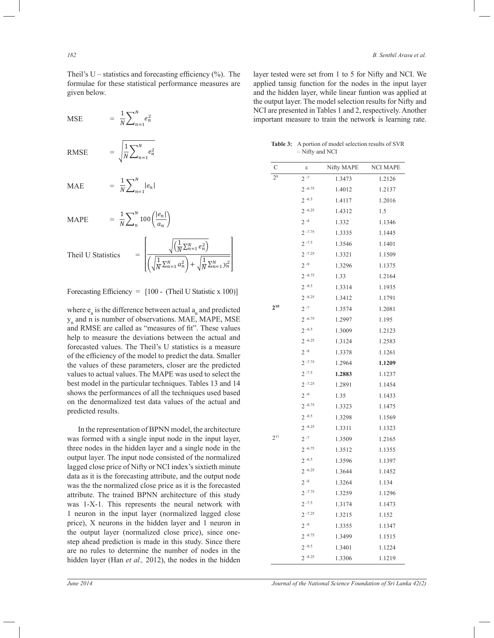Theil's U – statistics and forecasting efficiency  $(\% )$ . The formulae for these statistical performance measures are given below.

 $MSE$ 

RMSE 
$$
= \sqrt{\frac{1}{N} \sum_{n=1}^{N} e_n^2}
$$

 $=\frac{1}{N}$ 

 $\frac{1}{N}\sum_{n=1}^{N}e_n^2$  $n=1$ 

 $\frac{1}{N}\sum_{n=1}^{N}|e_n|$  $n=1$ 

 $\frac{1}{N}\sum_{n}^{N}100\left(\frac{|e_n|}{a_n}\right)$  $\binom{n}{n} 100 \left(\frac{|e_n|}{a_n}\right)$ 

 $\boldsymbol{n}$ 

 $\mathbf{1}$ 

MAE  $=\frac{1}{N}$ 

$$
MAPE = \frac{1}{l}
$$

Theil U Statistics

\n
$$
= \left[ \frac{\sqrt{\left(\frac{1}{N} \sum_{n=1}^{N} e_n^2\right)}}{\left(\sqrt{\frac{1}{N} \sum_{n=1}^{N} a_n^2}\right) + \sqrt{\frac{1}{N} \sum_{n=1}^{N} y_n^2}} \right]
$$

m<br>
fici Forecasting Efficiency = [100 - (Theil U Statistic x 100)]

help to measure the deviations between the actual and and RMSE are called as "measures of fit". These values # yn and n is number of observations. MAE, MAPE, MSE " where  $e_n$  is the difference between actual  $a_n$  and predicted forecasted values. The Theil's U statistics is a measure of the efficiency of the model to predict the data. Smaller the values of these parameters, closer are the predicted values to actual values. The MAPE was used to select the best model in the particular techniques. Tables 13 and 14 shows the performances of all the techniques used based on the denormalized test data values of the actual and predicted results.

 In the representation of BPNN model, the architecture was formed with a single input node in the input layer, three nodes in the hidden layer and a single node in the output layer. The input node consisted of the normalized lagged close price of Nifty or NCI index's sixtieth minute data as it is the forecasting attribute, and the output node was the the normalized close price as it is the forecasted attribute. The trained BPNN architecture of this study was 1-X-1. This represents the neural network with 1 neuron in the input layer (normalized lagged close price), X neurons in the hidden layer and 1 neuron in the output layer (normalized close price), since onestep ahead prediction is made in this study. Since there are no rules to determine the number of nodes in the hidden layer (Han *et al.,* 2012), the nodes in the hidden

layer tested were set from 1 to 5 for Nifty and NCI. We applied tansig function for the nodes in the input layer and the hidden layer, while linear funtion was applied at the output layer. The model selection results for Nifty and NCI are presented in Tables 1 and 2, respectively. Another important measure to train the network is learning rate.

| <b>Table 3:</b> A portion of model selection results of SVR |
|-------------------------------------------------------------|
| - Nifty and NCI                                             |

| $\mathcal{C}$  | ε          | Nifty MAPE | <b>NCI MAPE</b> |
|----------------|------------|------------|-----------------|
| 2 <sup>9</sup> | $2 - 7$    | 1.3473     | 1.2126          |
|                | $2 - 6.75$ | 1.4012     | 1.2137          |
|                | $2 - 6.5$  | 1.4117     | 1.2016          |
|                | $2 - 6.25$ | 1.4312     | 1.5             |
|                | $2 - 8$    | 1.332      | 1.1346          |
|                | $2 - 7.75$ | 1.3335     | 1.1445          |
|                | $2 - 7.5$  | 1.3546     | 1.1401          |
|                | $2 - 7.25$ | 1.3321     | 1.1509          |
|                | $2 - 9$    | 1.3296     | 1.1375          |
|                | $2 - 8.75$ | 1.33       | 1.2164          |
|                | $2 - 8.5$  | 1.3314     | 1.1935          |
|                | $2 - 8.25$ | 1.3412     | 1.1791          |
| $2^{10}$       | $2 - 7$    | 1.3574     | 1.2081          |
|                | $2 - 6.75$ | 1.2997     | 1.195           |
|                | $2 - 6.5$  | 1.3009     | 1.2123          |
|                | $2 - 6.25$ | 1.3124     | 1.2583          |
|                | $2 - 8$    | 1.3378     | 1.1261          |
|                | $2 - 7.75$ | 1.2964     | 1.1209          |
|                | $2 - 7.5$  | 1.2883     | 1.1237          |
|                | $2 - 7.25$ | 1.2891     | 1.1454          |
|                | $2 - 9$    | 1.35       | 1.1433          |
|                | $2 - 8.75$ | 1.3323     | 1.1475          |
|                | $2 - 8.5$  | 1.3298     | 1.1569          |
|                | $2 - 8.25$ | 1.3311     | 1.1323          |
| $2^{11}$       | $2 - 7$    | 1.3509     | 1.2165          |
|                | $2 - 6.75$ | 1.3512     | 1.1355          |
|                | $2 - 6.5$  | 1.3596     | 1.1397          |
|                | $2 - 6.25$ | 1.3644     | 1.1452          |
|                | $2 - 8$    | 1.3264     | 1.134           |
|                | $2 - 7.75$ | 1.3259     | 1.1296          |
|                | $2 - 7.5$  | 1.3174     | 1.1473          |
|                | $2 - 7.25$ | 1.3215     | 1.152           |
|                | $2 - 9$    | 1.3355     | 1.1347          |
|                | $2 - 8.75$ | 1.3499     | 1.1515          |
|                | $2 - 8.5$  | 1.3401     | 1.1224          |
|                | $2 - 8.25$ | 1.3306     | 1.1219          |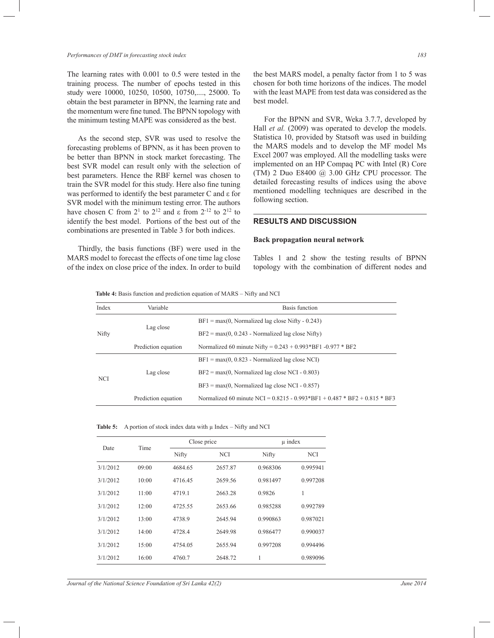#### *Performances of DMT in forecasting stock index 183*

The learning rates with 0.001 to 0.5 were tested in the training process. The number of epochs tested in this study were 10000, 10250, 10500, 10750,...., 25000. To obtain the best parameter in BPNN, the learning rate and the momentum were fine tuned. The BPNN topology with the minimum testing MAPE was considered as the best.

 As the second step, SVR was used to resolve the forecasting problems of BPNN, as it has been proven to be better than BPNN in stock market forecasting. The best SVR model can result only with the selection of best parameters. Hence the RBF kernel was chosen to train the SVR model for this study. Here also fine tuning was performed to identify the best parameter C and ε for SVR model with the minimum testing error. The authors have chosen C from  $2^1$  to  $2^{12}$  and  $\varepsilon$  from  $2^{-12}$  to  $2^{12}$  to identify the best model. Portions of the best out of the combinations are presented in Table 3 for both indices.

 Thirdly, the basis functions (BF) were used in the MARS model to forecast the effects of one time lag close of the index on close price of the index. In order to build

the best MARS model, a penalty factor from 1 to 5 was chosen for both time horizons of the indices. The model with the least MAPE from test data was considered as the best model.

 For the BPNN and SVR, Weka 3.7.7, developed by Hall *et al.* (2009) was operated to develop the models. Statistica 10, provided by Statsoft was used in building the MARS models and to develop the MF model Ms Excel 2007 was employed. All the modelling tasks were implemented on an HP Compaq PC with Intel (R) Core (TM) 2 Duo E8400 @ 3.00 GHz CPU processor. The detailed forecasting results of indices using the above mentioned modelling techniques are described in the following section.

# **RESULTS AND DISCUSSION**

## **Back propagation neural network**

Tables 1 and 2 show the testing results of BPNN topology with the combination of different nodes and

**Table 4:** Basis function and prediction equation of MARS – Nifty and NCI

| Index | Variable            | Basis function                                                              |
|-------|---------------------|-----------------------------------------------------------------------------|
|       |                     | $BF1 = max(0, Normalized lag close Nifty - 0.243)$                          |
| Nifty | Lag close           | $BF2 = max(0, 0.243 - Normalized lag close Nifty)$                          |
|       | Prediction equation | Normalized 60 minute Nifty = $0.243 + 0.993*BF1 - 0.977*BF2$                |
|       |                     | $BF1 = max(0, 0.823 - Normalized lag close NCI)$                            |
|       | Lag close           | $BF2 = max(0, Normalized lag close NCI - 0.803)$                            |
| NCI   |                     | $BF3 = max(0, Normalized lag close NCI - 0.857)$                            |
|       | Prediction equation | Normalized 60 minute NCI = $0.8215 - 0.993*BF1 + 0.487 * BF2 + 0.815 * BF3$ |

**Table 5:** A portion of stock index data with  $\mu$  Index – Nifty and NCI

|          |       | Close price |         | $\mu$ index |          |  |
|----------|-------|-------------|---------|-------------|----------|--|
| Date     | Time  | Nifty       | NCI     | Nifty       | NCI      |  |
| 3/1/2012 | 09:00 | 4684.65     | 2657.87 | 0.968306    | 0.995941 |  |
| 3/1/2012 | 10:00 | 4716.45     | 2659.56 | 0.981497    | 0.997208 |  |
| 3/1/2012 | 11:00 | 4719.1      | 2663.28 | 0.9826      | 1        |  |
| 3/1/2012 | 12:00 | 4725.55     | 2653.66 | 0.985288    | 0.992789 |  |
| 3/1/2012 | 13:00 | 4738.9      | 2645.94 | 0.990863    | 0.987021 |  |
| 3/1/2012 | 14:00 | 4728.4      | 2649.98 | 0.986477    | 0.990037 |  |
| 3/1/2012 | 15:00 | 4754.05     | 2655.94 | 0.997208    | 0.994496 |  |
| 3/1/2012 | 16:00 | 4760.7      | 2648.72 | 1           | 0.989096 |  |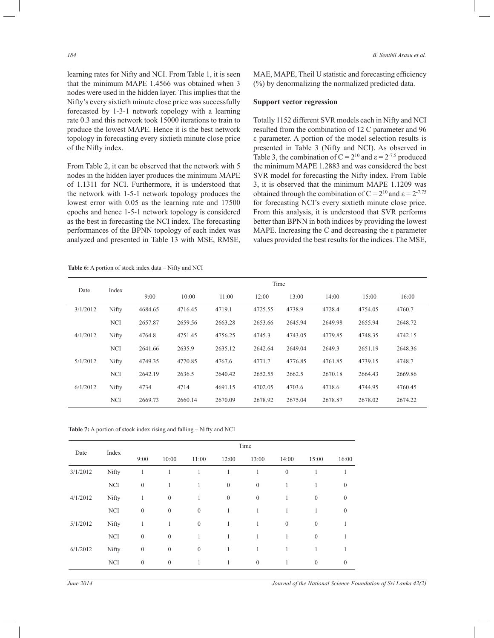learning rates for Nifty and NCI. From Table 1, it is seen that the minimum MAPE 1.4566 was obtained when 3 nodes were used in the hidden layer. This implies that the Nifty's every sixtieth minute close price was successfully forecasted by 1-3-1 network topology with a learning rate 0.3 and this network took 15000 iterations to train to produce the lowest MAPE. Hence it is the best network topology in forecasting every sixtieth minute close price of the Nifty index.

From Table 2, it can be observed that the network with 5 nodes in the hidden layer produces the minimum MAPE of 1.1311 for NCI. Furthermore, it is understood that the network with 1-5-1 network topology produces the lowest error with 0.05 as the learning rate and 17500 epochs and hence 1-5-1 network topology is considered as the best in forecasting the NCI index. The forecasting performances of the BPNN topology of each index was analyzed and presented in Table 13 with MSE, RMSE,

MAE, MAPE, Theil U statistic and forecasting efficiency (%) by denormalizing the normalized predicted data.

#### **Support vector regression**

Totally 1152 different SVR models each in Nifty and NCI resulted from the combination of 12 C parameter and 96 ε parameter. A portion of the model selection results is presented in Table 3 (Nifty and NCI). As observed in Table 3, the combination of  $C = 2^{10}$  and  $\varepsilon = 2^{-7.5}$  produced the minimum MAPE 1.2883 and was considered the best SVR model for forecasting the Nifty index. From Table 3, it is observed that the minimum MAPE 1.1209 was obtained through the combination of  $C = 2^{10}$  and  $\varepsilon = 2^{-7.75}$ for forecasting NCI's every sixtieth minute close price. From this analysis, it is understood that SVR performs better than BPNN in both indices by providing the lowest MAPE. Increasing the C and decreasing the ε parameter values provided the best results for the indices. The MSE,

**Table 6:** A portion of stock index data – Nifty and NCI

| Time     |            |         |         |         |         |         |         |         |         |
|----------|------------|---------|---------|---------|---------|---------|---------|---------|---------|
| Date     | Index      | 9:00    | 10:00   | 11:00   | 12:00   | 13:00   | 14:00   | 15:00   | 16:00   |
| 3/1/2012 | Nifty      | 4684.65 | 4716.45 | 4719.1  | 4725.55 | 4738.9  | 4728.4  | 4754.05 | 4760.7  |
|          | <b>NCI</b> | 2657.87 | 2659.56 | 2663.28 | 2653.66 | 2645.94 | 2649.98 | 2655.94 | 2648.72 |
| 4/1/2012 | Nifty      | 4764.8  | 4751.45 | 4756.25 | 4745.3  | 4743.05 | 4779.85 | 4748.35 | 4742.15 |
|          | <b>NCI</b> | 2641.66 | 2635.9  | 2635.12 | 2642.64 | 2649.04 | 2649.3  | 2651.19 | 2648.36 |
| 5/1/2012 | Nifty      | 4749.35 | 4770.85 | 4767.6  | 4771.7  | 4776.85 | 4761.85 | 4739.15 | 4748.7  |
|          | <b>NCI</b> | 2642.19 | 2636.5  | 2640.42 | 2652.55 | 2662.5  | 2670.18 | 2664.43 | 2669.86 |
| 6/1/2012 | Nifty      | 4734    | 4714    | 4691.15 | 4702.05 | 4703.6  | 4718.6  | 4744.95 | 4760.45 |
|          | <b>NCI</b> | 2669.73 | 2660.14 | 2670.09 | 2678.92 | 2675.04 | 2678.87 | 2678.02 | 2674.22 |

**Table 7:** A portion of stock index rising and falling – Nifty and NCI

|          |            |                  |                  |                  |              | Time             |                  |              |              |
|----------|------------|------------------|------------------|------------------|--------------|------------------|------------------|--------------|--------------|
| Date     | Index      | 9:00             | 10:00            | 11:00            | 12:00        | 13:00            | 14:00            | 15:00        | 16:00        |
| 3/1/2012 | Nifty      | $\mathbf{1}$     | 1                | 1                | 1            | 1                | $\boldsymbol{0}$ | $\mathbf{1}$ | 1            |
|          | <b>NCI</b> | $\mathbf{0}$     | 1                | 1                | $\mathbf{0}$ | $\mathbf{0}$     | 1                | 1            | $\mathbf{0}$ |
| 4/1/2012 | Nifty      | 1                | $\boldsymbol{0}$ | 1                | $\mathbf{0}$ | $\mathbf{0}$     | 1                | $\mathbf{0}$ | $\mathbf{0}$ |
|          | <b>NCI</b> | $\mathbf{0}$     | $\mathbf{0}$     | $\mathbf{0}$     | $\mathbf{1}$ | 1                | 1                | $\mathbf{1}$ | $\mathbf{0}$ |
| 5/1/2012 | Nifty      | 1                | 1                | $\boldsymbol{0}$ | $\mathbf{1}$ | $\mathbf{1}$     | $\boldsymbol{0}$ | $\mathbf{0}$ | 1            |
|          | <b>NCI</b> | $\mathbf{0}$     | $\mathbf{0}$     | 1                | 1            | 1                | 1                | $\mathbf{0}$ |              |
| 6/1/2012 | Nifty      | $\boldsymbol{0}$ | $\boldsymbol{0}$ | $\boldsymbol{0}$ | 1            | 1                | 1                | 1            | 1            |
|          | <b>NCI</b> | $\boldsymbol{0}$ | $\boldsymbol{0}$ | 1                | 1            | $\boldsymbol{0}$ | 1                | $\mathbf{0}$ | $\mathbf{0}$ |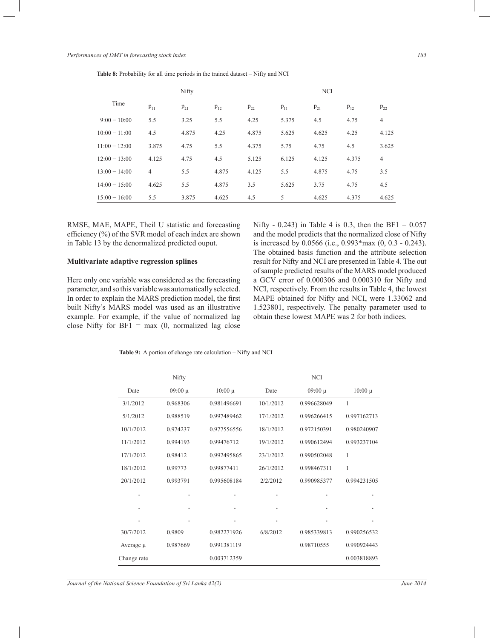|                 |                | Nifty    |          |          |          | <b>NCI</b> |          |                |
|-----------------|----------------|----------|----------|----------|----------|------------|----------|----------------|
| Time            | $p_{11}$       | $p_{21}$ | $p_{12}$ | $p_{22}$ | $p_{11}$ | $p_{21}$   | $p_{12}$ | $p_{22}$       |
| $9:00 - 10:00$  | 5.5            | 3.25     | 5.5      | 4.25     | 5.375    | 4.5        | 4.75     | $\overline{4}$ |
| $10:00 - 11:00$ | 4.5            | 4.875    | 4.25     | 4.875    | 5.625    | 4.625      | 4.25     | 4.125          |
| $11:00 - 12:00$ | 3.875          | 4.75     | 5.5      | 4.375    | 5.75     | 4.75       | 4.5      | 3.625          |
| $12:00 - 13:00$ | 4.125          | 4.75     | 4.5      | 5.125    | 6.125    | 4.125      | 4.375    | $\overline{4}$ |
| $13:00 - 14:00$ | $\overline{4}$ | 5.5      | 4.875    | 4.125    | 5.5      | 4.875      | 4.75     | 3.5            |
| $14:00 - 15:00$ | 4.625          | 5.5      | 4.875    | 3.5      | 5.625    | 3.75       | 4.75     | 4.5            |
| $15:00 - 16:00$ | 5.5            | 3.875    | 4.625    | 4.5      | 5        | 4.625      | 4.375    | 4.625          |

**Table 8:** Probability for all time periods in the trained dataset – Nifty and NCI

RMSE, MAE, MAPE, Theil U statistic and forecasting efficiency (%) of the SVR model of each index are shown in Table 13 by the denormalized predicted ouput.

# **Multivariate adaptive regression splines**

Here only one variable was considered as the forecasting parameter, and so this variable was automatically selected. In order to explain the MARS prediction model, the first built Nifty's MARS model was used as an illustrative example. For example, if the value of normalized lag close Nifty for  $BF1 = max(0, normalized lag close)$ 

Nifty - 0.243) in Table 4 is 0.3, then the BF1 =  $0.057$ and the model predicts that the normalized close of Nifty is increased by 0.0566 (i.e., 0.993\*max (0, 0.3 - 0.243). The obtained basis function and the attribute selection result for Nifty and NCI are presented in Table 4. The out of sample predicted results of the MARS model produced a GCV error of 0.000306 and 0.000310 for Nifty and NCI, respectively. From the results in Table 4, the lowest MAPE obtained for Nifty and NCI, were 1.33062 and 1.523801, respectively. The penalty parameter used to obtain these lowest MAPE was 2 for both indices.

**Table 9:** A portion of change rate calculation – Nifty and NCI

|             | Nifty       |             | <b>NCI</b> |             |             |  |  |  |
|-------------|-------------|-------------|------------|-------------|-------------|--|--|--|
| Date        | $09:00 \mu$ |             | Date       | $09:00 \mu$ | $10:00 \mu$ |  |  |  |
| 3/1/2012    | 0.968306    | 0.981496691 | 10/1/2012  | 0.996628049 | 1           |  |  |  |
| 5/1/2012    | 0.988519    | 0.997489462 | 17/1/2012  | 0.996266415 | 0.997162713 |  |  |  |
| 10/1/2012   | 0.974237    | 0.977556556 | 18/1/2012  | 0.972150391 | 0.980240907 |  |  |  |
| 11/1/2012   | 0.994193    | 0.99476712  | 19/1/2012  | 0.990612494 | 0.993237104 |  |  |  |
| 17/1/2012   | 0.98412     | 0.992495865 | 23/1/2012  | 0.990502048 | 1           |  |  |  |
| 18/1/2012   | 0.99773     | 0.99877411  | 26/1/2012  | 0.998467311 | 1           |  |  |  |
| 20/1/2012   | 0.993791    | 0.995608184 | 2/2/2012   | 0.990985377 | 0.994231505 |  |  |  |
| ٠           |             |             | ٠          | ٠           |             |  |  |  |
| ٠           |             | ٠           | ٠          | ٠           |             |  |  |  |
| ٠           |             |             | ٠          | ٠           |             |  |  |  |
| 30/7/2012   | 0.9809      | 0.982271926 | 6/8/2012   | 0.985339813 | 0.990256532 |  |  |  |
| Average µ   | 0.987669    | 0.991381119 |            | 0.98710555  | 0.990924443 |  |  |  |
| Change rate |             | 0.003712359 |            |             | 0.003818893 |  |  |  |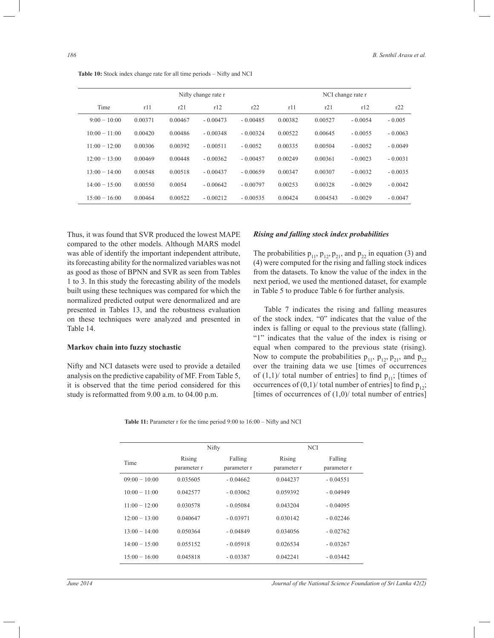|                 |         |         | Nifty change rate r |            |         | NCI change rate r |           |           |  |  |
|-----------------|---------|---------|---------------------|------------|---------|-------------------|-----------|-----------|--|--|
| Time            | r11     | r21     | r12                 | r22        | r11     | r21               | r12       | r22       |  |  |
| $9:00-10:00$    | 0.00371 | 0.00467 | $-0.00473$          | $-0.00485$ | 0.00382 | 0.00527           | $-0.0054$ | $-0.005$  |  |  |
| $10:00 - 11:00$ | 0.00420 | 0.00486 | $-0.00348$          | $-0.00324$ | 0.00522 | 0.00645           | $-0.0055$ | $-0.0063$ |  |  |
| $11:00 - 12:00$ | 0.00306 | 0.00392 | $-0.00511$          | $-0.0052$  | 0.00335 | 0.00504           | $-0.0052$ | $-0.0049$ |  |  |
| $12:00 - 13:00$ | 0.00469 | 0.00448 | $-0.00362$          | $-0.00457$ | 0.00249 | 0.00361           | $-0.0023$ | $-0.0031$ |  |  |
| $13:00 - 14:00$ | 0.00548 | 0.00518 | $-0.00437$          | $-0.00659$ | 0.00347 | 0.00307           | $-0.0032$ | $-0.0035$ |  |  |
| $14:00 - 15:00$ | 0.00550 | 0.0054  | $-0.00642$          | $-0.00797$ | 0.00253 | 0.00328           | $-0.0029$ | $-0.0042$ |  |  |
|                 |         |         |                     |            |         |                   |           |           |  |  |

15:00 − 16:00 0.00464 0.00522 - 0.00212 - 0.00535 0.00424 0.004543 - 0.0029 - 0.0047

**Table 10:** Stock index change rate for all time periods – Nifty and NCI

Thus, it was found that SVR produced the lowest MAPE compared to the other models. Although MARS model was able of identify the important independent attribute, its forecasting ability for the normalized variables was not as good as those of BPNN and SVR as seen from Tables 1 to 3. In this study the forecasting ability of the models built using these techniques was compared for which the normalized predicted output were denormalized and are presented in Tables 13, and the robustness evaluation on these techniques were analyzed and presented in Table 14.

## **Markov chain into fuzzy stochastic**

Nifty and NCI datasets were used to provide a detailed analysis on the predictive capability of MF. From Table 5, it is observed that the time period considered for this study is reformatted from 9.00 a.m. to 04.00 p.m.

## *Rising and falling stock index probabilities*

The probabilities  $p_{11}$ ,  $p_{12}$ ,  $p_{21}$ , and  $p_{22}$  in equation (3) and (4) were computed for the rising and falling stock indices from the datasets. To know the value of the index in the next period, we used the mentioned dataset, for example in Table 5 to produce Table 6 for further analysis.

 Table 7 indicates the rising and falling measures of the stock index. "0" indicates that the value of the index is falling or equal to the previous state (falling). "1" indicates that the value of the index is rising or equal when compared to the previous state (rising). Now to compute the probabilities  $p_{11}$ ,  $p_{12}$ ,  $p_{21}$ , and  $p_{22}$ over the training data we use [times of occurrences of  $(1,1)$  total number of entries] to find  $p_{11}$ ; [times of occurrences of  $(0,1)$  total number of entries] to find  $p_{12}$ ; [times of occurrences of  $(1,0)$ / total number of entries]

| <b>Table 11:</b> Parameter r for the time period $9:00$ to $16:00 -$ Nifty and NCI |
|------------------------------------------------------------------------------------|
|------------------------------------------------------------------------------------|

|                 |                       | Nifty                  | <b>NCI</b>            |                        |
|-----------------|-----------------------|------------------------|-----------------------|------------------------|
| Time            | Rising<br>parameter r | Falling<br>parameter r | Rising<br>parameter r | Falling<br>parameter r |
| $09:00 - 10:00$ | 0.035605              | $-0.04662$             | 0.044237              | $-0.04551$             |
| $10(0 - 11(0)$  | 0.042577              | $-0.03062$             | 0.059392              | $-0.04949$             |
| $11:00 - 12:00$ | 0.030578              | $-0.05084$             | 0.043204              | $-0.04095$             |
| $12:00 - 13:00$ | 0.040647              | $-0.03971$             | 0.030142              | $-0.02246$             |
| $13:00 - 14:00$ | 0.050364              | $-0.04849$             | 0.034056              | $-0.02762$             |
| $14:00 - 15:00$ | 0.055152              | $-0.05918$             | 0.026534              | $-0.03267$             |
| $15:00 - 16:00$ | 0.045818              | $-0.03387$             | 0.042241              | $-0.03442$             |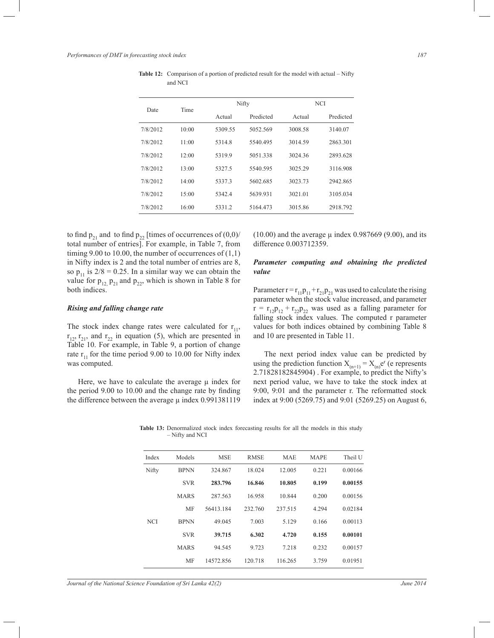| Date     | Time  |         | Nifty     |         | <b>NCI</b> |
|----------|-------|---------|-----------|---------|------------|
|          |       | Actual  | Predicted | Actual  | Predicted  |
| 7/8/2012 | 10:00 | 5309.55 | 5052.569  | 3008.58 | 3140.07    |
| 7/8/2012 | 11:00 | 5314.8  | 5540.495  | 3014.59 | 2863.301   |
| 7/8/2012 | 12:00 | 5319.9  | 5051.338  | 3024.36 | 2893.628   |
| 7/8/2012 | 13:00 | 5327.5  | 5540.595  | 3025.29 | 3116.908   |
| 7/8/2012 | 14:00 | 5337.3  | 5602.685  | 3023.73 | 2942.865   |
| 7/8/2012 | 15:00 | 5342.4  | 5639.931  | 3021.01 | 3105.034   |
| 7/8/2012 | 16:00 | 5331.2  | 5164.473  | 3015.86 | 2918.792   |

**Table 12:** Comparison of a portion of predicted result for the model with actual – Nifty and NCI

to find  $p_{21}$  and to find  $p_{22}$  [times of occurrences of  $(0,0)/$ total number of entries]. For example, in Table 7, from timing 9.00 to 10.00, the number of occurrences of  $(1,1)$ in Nifty index is 2 and the total number of entries are 8, so  $p_{11}$  is  $2/8 = 0.25$ . In a similar way we can obtain the value for  $p_{12}$ ,  $p_{21}$  and  $p_{22}$ , which is shown in Table 8 for both indices.

## *Rising and falling change rate*

The stock index change rates were calculated for  $r_{11}$ ,  $r_{12}$ ,  $r_{21}$ , and  $r_{22}$  in equation (5), which are presented in Table 10. For example, in Table 9, a portion of change rate  $r_{11}$  for the time period 9.00 to 10.00 for Nifty index was computed.

Here, we have to calculate the average  $\mu$  index for the period 9.00 to 10.00 and the change rate by finding the difference between the average u index 0.991381119

 $(10.00)$  and the average  $\mu$  index 0.987669 (9.00), and its difference 0.003712359.

# *Parameter computing and obtaining the predicted value*

Parameter  $r = r_{11}p_{11} + r_{21}p_{21}$  was used to calculate the rising parameter when the stock value increased, and parameter  $r = r_{12}p_{12} + r_{22}p_{22}$  was used as a falling parameter for falling stock index values. The computed r parameter values for both indices obtained by combining Table 8 and 10 are presented in Table 11.

 The next period index value can be predicted by using the prediction function  $X_{(n+1)} = X_{(n)}e^r$  (e represents 2.71828182845904) . For example, to predict the Nifty's next period value, we have to take the stock index at 9:00, 9:01 and the parameter r. The reformatted stock index at 9:00 (5269.75) and 9:01 (5269.25) on August 6,

| Models      | <b>MSE</b> | <b>RMSE</b> | <b>MAE</b> | <b>MAPE</b> | Theil U |
|-------------|------------|-------------|------------|-------------|---------|
| <b>BPNN</b> | 324.867    | 18.024      | 12.005     | 0.221       | 0.00166 |
| <b>SVR</b>  | 283.796    | 16.846      | 10.805     | 0.199       | 0.00155 |
| <b>MARS</b> | 287.563    | 16.958      | 10.844     | 0.200       | 0.00156 |
| <b>MF</b>   | 56413.184  | 232.760     | 237.515    | 4.294       | 0.02184 |
| <b>BPNN</b> | 49.045     | 7.003       | 5.129      | 0.166       | 0.00113 |
| <b>SVR</b>  | 39.715     | 6.302       | 4.720      | 0.155       | 0.00101 |
| <b>MARS</b> | 94.545     | 9.723       | 7.218      | 0.232       | 0.00157 |
| <b>MF</b>   | 14572.856  | 120.718     | 116.265    | 3.759       | 0.01951 |
|             |            |             |            |             |         |

**Table 13:** Denormalized stock index forecasting results for all the models in this study – Nifty and NCI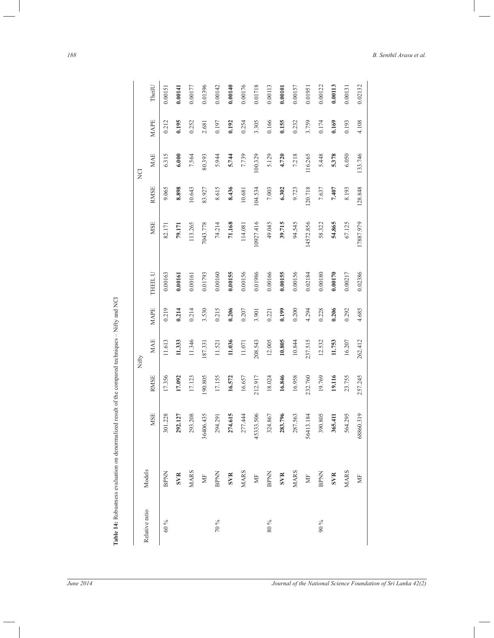|                |                              |           |             | Nifty      |       |         |           |             | DZ         |             |  |
|----------------|------------------------------|-----------|-------------|------------|-------|---------|-----------|-------------|------------|-------------|--|
| Relative ratio | Models                       | MSE       | <b>RMSE</b> | MAE        | MAPE  | THEIL U | MSE       | <b>RMSE</b> | <b>MAE</b> | <b>MAPE</b> |  |
| 60 %           | <b>BPNN</b>                  | 301.228   | 17.356      | 11.613     | 0.219 | 0.00163 | 82.171    | 9.065       | 6.315      | 0.212       |  |
|                | SVR                          | 292.127   | 17.092      | 11.333     | 0.214 | 0.00161 | 79.171    | 8.898       | 6.000      | 0.195       |  |
|                | <b>MARS</b>                  | 293.208   | 17.123      | 11.346     | 0.214 | 0.00161 | 113.265   | 10.643      | 7.564      | 0.252       |  |
|                | $\overleftarrow{\mathbb{E}}$ | 36406.435 | 190.805     | 187.331    | 3.530 | 0.01793 | 7043.778  | 83.927      | 80.393     | 2.681       |  |
| $10\%$         | <b>BPNN</b>                  | 294.291   | 17.155      | 11.521     | 0.215 | 0.00160 | 74.214    | 8.615       | 5.944      | 0.197       |  |
|                | SVR                          | 274.615   | 16.572      | 11.036     | 0.206 | 0.00155 | 71.168    | 8.436       | 5.744      | 0.192       |  |
|                | <b>MARS</b>                  | 277.444   | 16.657      | $11.071\,$ | 0.207 | 0.00156 | 114.081   | 10.681      | 7.739      | 0.254       |  |
|                | $\Xi$                        | 45333.506 | 212.917     | 208.543    | 3.901 | 0.01986 | 10927.416 | 104.534     | 100.329    | 3.305       |  |
| $90\,96$       | <b>BPNN</b>                  | 324.867   | 18.024      | 12.005     | 0.221 | 0.00166 | 49.045    | 7.003       | 5.129      | 0.166       |  |
|                | SVR                          | 283.796   | 16.846      | 10.805     | 0.199 | 0.00155 | 39.715    | 6.302       | 4.720      | 0.155       |  |
|                | <b>MARS</b>                  | 287.563   | 16.958      | 10.844     | 0.200 | 0.00156 | 94.545    | 9.723       | 7.218      | 0.232       |  |
|                | $\mathbb H$                  | 56413.184 | 232.760     | 237.515    | 4.294 | 0.02184 | 14572.856 | 120.718     | 116.265    | 3.759       |  |
| $90\%$         | <b>BPNN</b>                  | 390.805   | 19.769      | 12.532     | 0.228 | 0.00180 | 58.322    | 7.637       | 5.448      | 0.174       |  |
|                | SVR                          | 365.411   | 19.116      | 11.753     | 0.206 | 0.00170 | 54.865    | 7.407       | 5.378      | 0.169       |  |
|                | <b>MARS</b>                  | 564.295   | 23.755      | 16.207     | 0.292 | 0.00217 | 67.125    | 8.193       | 6.050      | 0.193       |  |
|                | $\overleftarrow{\Xi}$        | 68860.319 | 257.245     | 262.412    | 4.685 | 0.02386 | 17887.979 | 128.848     | 133.746    | 4.108       |  |

*188 B. Senthil Arasu et al.*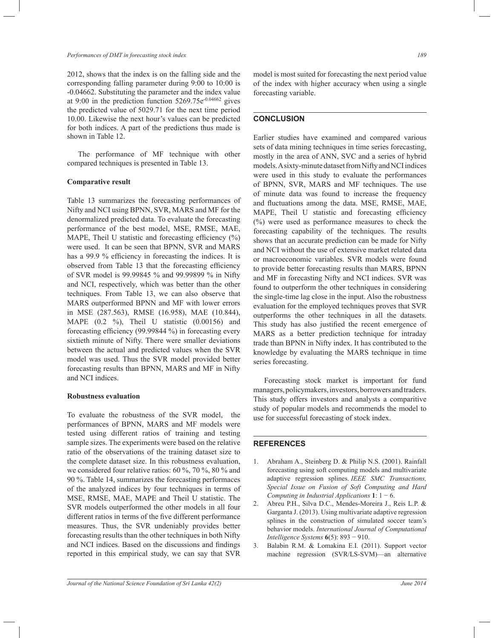#### *Performances of DMT in forecasting stock index 189*

2012, shows that the index is on the falling side and the corresponding falling parameter during 9:00 to 10:00 is -0.04662. Substituting the parameter and the index value at 9:00 in the prediction function 5269.75e-0.04662 gives the predicted value of 5029.71 for the next time period 10.00. Likewise the next hour's values can be predicted for both indices. A part of the predictions thus made is shown in Table 12.

 The performance of MF technique with other compared techniques is presented in Table 13.

## **Comparative result**

Table 13 summarizes the forecasting performances of Nifty and NCI using BPNN, SVR, MARS and MF for the denormalized predicted data. To evaluate the forecasting performance of the best model, MSE, RMSE, MAE, MAPE, Theil U statistic and forecasting efficiency  $(\%)$ were used. It can be seen that BPNN, SVR and MARS has a 99.9 % efficiency in forecasting the indices. It is observed from Table 13 that the forecasting efficiency of SVR model is 99.99845 % and 99.99899 % in Nifty and NCI, respectively, which was better than the other techniques. From Table 13, we can also observe that MARS outperformed BPNN and MF with lower errors in MSE (287.563), RMSE (16.958), MAE (10.844), MAPE (0.2 %), Theil U statistic (0.00156) and forecasting efficiency (99.99844 %) in forecasting every sixtieth minute of Nifty. There were smaller deviations between the actual and predicted values when the SVR model was used. Thus the SVR model provided better forecasting results than BPNN, MARS and MF in Nifty and NCI indices.

## **Robustness evaluation**

To evaluate the robustness of the SVR model, the performances of BPNN, MARS and MF models were tested using different ratios of training and testing sample sizes. The experiments were based on the relative ratio of the observations of the training dataset size to the complete dataset size. In this robustness evaluation, we considered four relative ratios: 60 %, 70 %, 80 % and 90 %. Table 14, summarizes the forecasting performaces of the analyzed indices by four techniques in terms of MSE, RMSE, MAE, MAPE and Theil U statistic. The SVR models outperformed the other models in all four different ratios in terms of the five different performance measures. Thus, the SVR undeniably provides better forecasting results than the other techniques in both Nifty and NCI indices. Based on the discussions and findings reported in this empirical study, we can say that SVR

model is most suited for forecasting the next period value of the index with higher accuracy when using a single forecasting variable.

# **CONCLUSION**

Earlier studies have examined and compared various sets of data mining techniques in time series forecasting, mostly in the area of ANN, SVC and a series of hybrid models. A sixty-minute dataset from Nifty and NCI indices were used in this study to evaluate the performances of BPNN, SVR, MARS and MF techniques. The use of minute data was found to increase the frequency and fluctuations among the data. MSE, RMSE, MAE, MAPE, Theil U statistic and forecasting efficiency (%) were used as performance measures to check the forecasting capability of the techniques. The results shows that an accurate prediction can be made for Nifty and NCI without the use of extensive market related data or macroeconomic variables. SVR models were found to provide better forecasting results than MARS, BPNN and MF in forecasting Nifty and NCI indices. SVR was found to outperform the other techniques in considering the single-time lag close in the input. Also the robustness evaluation for the employed techniques proves that SVR outperforms the other techniques in all the datasets. This study has also justified the recent emergence of MARS as a better prediction technique for intraday trade than BPNN in Nifty index. It has contributed to the knowledge by evaluating the MARS technique in time series forecasting.

 Forecasting stock market is important for fund managers, policymakers, investors, borrowers and traders. This study offers investors and analysts a comparitive study of popular models and recommends the model to use for successful forecasting of stock index.

#### **REFERENCES**

- 1. Abraham A., Steinberg D. & Philip N.S. (2001). Rainfall forecasting using soft computing models and multivariate adaptive regression splines. *IEEE SMC Transactions, Special Issue on Fusion of Soft Computing and Hard Computing in Industrial Applications* **1**: 1 − 6.
- 2. Abreu P.H., Silva D.C., Mendes-Moreira J., Reis L.P. & Garganta J. (2013). Using multivariate adaptive regression splines in the construction of simulated soccer team's behavior models. *International Journal of Computational Intelligence Systems* **6**(5): 893 − 910.
- 3. Balabin R.M. & Lomakina E.I. (2011). Support vector machine regression (SVR/LS-SVM)—an alternative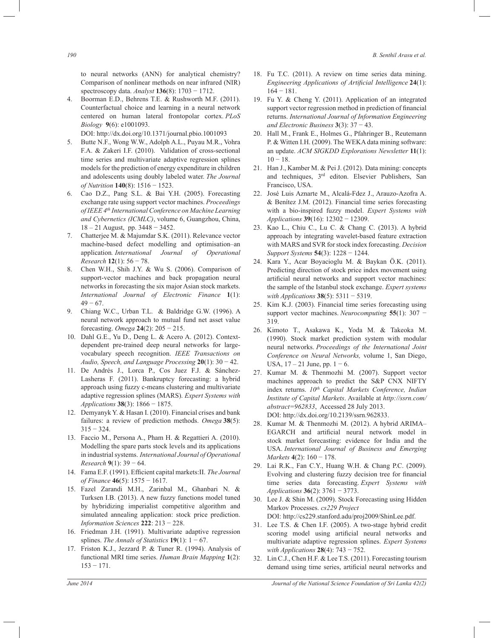*190 B. Senthil Arasu et al.*

to neural networks (ANN) for analytical chemistry? Comparison of nonlinear methods on near infrared (NIR) spectroscopy data. *Analyst* **136**(8): 1703 − 1712.

4. Boorman E.D., Behrens T.E. & Rushworth M.F. (2011). Counterfactual choice and learning in a neural network centered on human lateral frontopolar cortex. *PLoS Biology* **9**(6): e1001093.

DOI: http://dx.doi.org/10.1371/journal.pbio.1001093

- 5. Butte N.F., Wong W.W., Adolph A.L., Puyau M.R., Vohra F.A. & Zakeri I.F. (2010). Validation of cross-sectional time series and multivariate adaptive regression splines models for the prediction of energy expenditure in children and adolescents using doubly labeled water. *The Journal of Nutrition* **140**(8): 1516 − 1523.
- 6. Cao D.Z., Pang S.L. & Bai Y.H. (2005). Forecasting exchange rate using support vector machines. *Proceedings of IEEE 4th International Conference on Machine Learning and Cybernetics (ICMLC)*, volume 6, Guangzhou, China, 18 – 21 August, pp. 3448 − 3452.
- 7. Chatterjee M. & Majumdar S.K. (2011). Relevance vector machine-based defect modelling and optimisation–an application*. International Journal of Operational Research* **12**(1): 56 − 78.
- 8. Chen W.H., Shih J.Y. & Wu S. (2006). Comparison of support-vector machines and back propagation neural networks in forecasting the six major Asian stock markets. *International Journal of Electronic Finance* **1**(1):  $49 - 67$ .
- 9. Chiang W.C., Urban T.L. & Baldridge G.W. (1996). A neural network approach to mutual fund net asset value forecasting. *Omega* **24**(2): 205 − 215.
- 10. Dahl G.E., Yu D., Deng L. & Acero A. (2012). Contextdependent pre-trained deep neural networks for largevocabulary speech recognition. *IEEE Transactions on Audio, Speech, and Language Processing* **20**(1): 30 − 42.
- 11. De Andrés J., Lorca P., Cos Juez F.J. & Sánchez-Lasheras F. (2011). Bankruptcy forecasting: a hybrid approach using fuzzy c-means clustering and multivariate adaptive regression splines (MARS). *Expert Systems with Applications* **38**(3): 1866 − 1875.
- 12. Demyanyk Y. & Hasan I. (2010). Financial crises and bank failures: a review of prediction methods. *Omega* **38**(5):  $315 - 324$ .
- 13. Faccio M., Persona A., Pham H. & Regattieri A. (2010). Modelling the spare parts stock levels and its applications in industrial systems. *International Journal of Operational Research* **9**(1): 39 − 64.
- 14. Fama E.F. (1991). Efficient capital markets:II. *The Journal of Finance* **46**(5): 1575 − 1617.
- 15. Fazel Zarandi M.H., Zarinbal M., Ghanbari N. & Turksen I.B. (2013). A new fuzzy functions model tuned by hybridizing imperialist competitive algorithm and simulated annealing application: stock price prediction. *Information Sciences* **222**: 213 − 228.
- 16. Friedman J.H. (1991). Multivariate adaptive regression splines. *The Annals of Statistics* **19**(1):  $1 - 67$ .
- 17. Friston K.J., Jezzard P. & Tuner R. (1994). Analysis of functional MRI time series. *Human Brain Mapping* **1**(2): 153 − 171.
- 18. Fu T.C. (2011). A review on time series data mining. *Engineering Applications of Artificial Intelligence* **24**(1):  $164 - 181$ .
- 19. Fu Y. & Cheng Y. (2011). Application of an integrated support vector regression method in prediction of financial returns. *International Journal of Information Engineering and Electronic Business* **3**(3): 37 − 43.
- 20. Hall M., Frank E., Holmes G., Pfahringer B., Reutemann P. & Witten I.H. (2009). The WEKA data mining software: an update. *ACM SIGKDD Explorations Newsletter* **11**(1):  $10 - 18$ .
- 21. Han J., Kamber M. & Pei J. (2012). Data mining: concepts and techniques, 3rd editon. Elsevier Publishers, San Francisco, USA.
- 22. José Luis Aznarte M., Alcalá-Fdez J., Arauzo-Azofra A. & Benítez J.M. (2012). Financial time series forecasting with a bio-inspired fuzzy model. *Expert Systems with Applications* **39**(16): 12302 − 12309.
- 23. Kao L., Chiu C., Lu C. & Chang C. (2013). A hybrid approach by integrating wavelet-based feature extraction with MARS and SVR for stock index forecasting. *Decision Support Systems* **54**(3): 1228 − 1244.
- 24. Kara Y., Acar Boyacioglu M. & Baykan Ö.K. (2011). Predicting direction of stock price index movement using artificial neural networks and support vector machines: the sample of the Istanbul stock exchange. *Expert systems with Applications* **38**(5): 5311 − 5319.
- 25. Kim K.J. (2003). Financial time series forecasting using support vector machines. *Neurocomputing* **55**(1): 307 − 319.
- 26. Kimoto T., Asakawa K., Yoda M. & Takeoka M. (1990). Stock market prediction system with modular neural networks. *Proceedings of the International Joint Conference on Neural Networks,* volume 1, San Diego, USA,  $17 - 21$  June, pp.  $1 - 6$ .
- 27. Kumar M. & Thenmozhi M. (2007). Support vector machines approach to predict the S&P CNX NIFTY index returns. *10th Capital Markets Conference, Indian Institute of Capital Markets*. Available at *http://ssrn.com/ abstract=962833*, Accessed 28 July 2013. DOI: http://dx.doi.org/10.2139/ssrn.962833.
- 28. Kumar M. & Thenmozhi M. (2012). A hybrid ARIMA– EGARCH and artificial neural network model in stock market forecasting: evidence for India and the USA. *International Journal of Business and Emerging Markets* **4**(2): 160 − 178.
- 29. Lai R.K., Fan C.Y., Huang W.H. & Chang P.C. (2009). Evolving and clustering fuzzy decision tree for financial time series data forecasting. *Expert Systems with Applications* **36**(2): 3761 − 3773.
- 30. Lee J. & Shin M. (2009). Stock Forecasting using Hidden Markov Processes. *cs229 Project*
- DOI: http://cs229.stanford.adu/proj2009/ShinLee.pdf.
- 31. Lee T.S. & Chen I.F. (2005). A two-stage hybrid credit scoring model using artificial neural networks and multivariate adaptive regression splines. *Expert Systems with Applications* **28**(4): 743 − 752.
- 32. Lin C.J., Chen H.F. & Lee T.S. (2011). Forecasting tourism demand using time series, artificial neural networks and